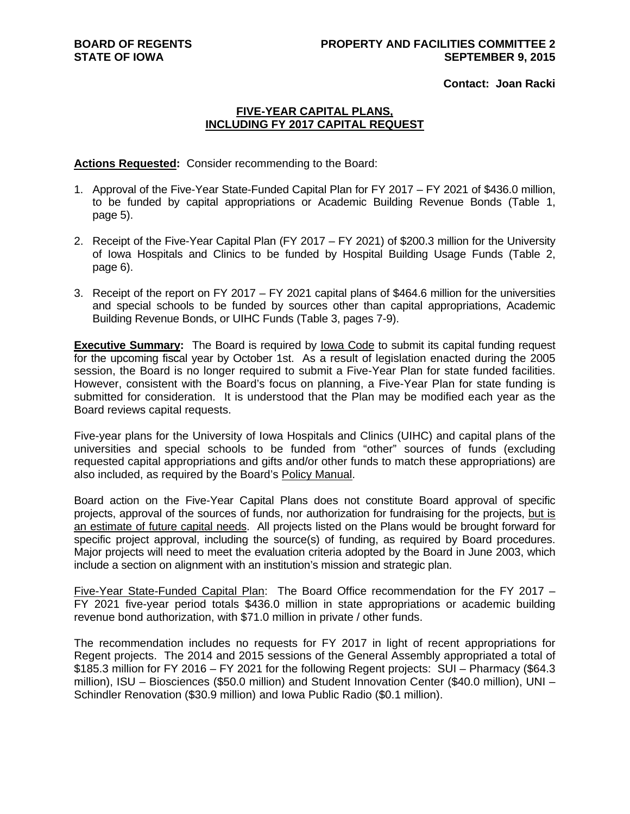**Contact: Joan Racki**

#### **FIVE-YEAR CAPITAL PLANS, INCLUDING FY 2017 CAPITAL REQUEST**

**Actions Requested:** Consider recommending to the Board:

- 1. Approval of the Five-Year State-Funded Capital Plan for FY 2017 FY 2021 of \$436.0 million, to be funded by capital appropriations or Academic Building Revenue Bonds (Table 1, page 5).
- 2. Receipt of the Five-Year Capital Plan (FY 2017 FY 2021) of \$200.3 million for the University of Iowa Hospitals and Clinics to be funded by Hospital Building Usage Funds (Table 2, page 6).
- 3. Receipt of the report on FY 2017 FY 2021 capital plans of \$464.6 million for the universities and special schools to be funded by sources other than capital appropriations, Academic Building Revenue Bonds, or UIHC Funds (Table 3, pages 7-9).

**Executive Summary:** The Board is required by Iowa Code to submit its capital funding request for the upcoming fiscal year by October 1st. As a result of legislation enacted during the 2005 session, the Board is no longer required to submit a Five-Year Plan for state funded facilities. However, consistent with the Board's focus on planning, a Five-Year Plan for state funding is submitted for consideration. It is understood that the Plan may be modified each year as the Board reviews capital requests.

Five-year plans for the University of Iowa Hospitals and Clinics (UIHC) and capital plans of the universities and special schools to be funded from "other" sources of funds (excluding requested capital appropriations and gifts and/or other funds to match these appropriations) are also included, as required by the Board's Policy Manual.

Board action on the Five-Year Capital Plans does not constitute Board approval of specific projects, approval of the sources of funds, nor authorization for fundraising for the projects, but is an estimate of future capital needs. All projects listed on the Plans would be brought forward for specific project approval, including the source(s) of funding, as required by Board procedures. Major projects will need to meet the evaluation criteria adopted by the Board in June 2003, which include a section on alignment with an institution's mission and strategic plan.

Five-Year State-Funded Capital Plan: The Board Office recommendation for the FY 2017 – FY 2021 five-year period totals \$436.0 million in state appropriations or academic building revenue bond authorization, with \$71.0 million in private / other funds.

The recommendation includes no requests for FY 2017 in light of recent appropriations for Regent projects. The 2014 and 2015 sessions of the General Assembly appropriated a total of \$185.3 million for FY 2016 – FY 2021 for the following Regent projects: SUI – Pharmacy (\$64.3 million), ISU – Biosciences (\$50.0 million) and Student Innovation Center (\$40.0 million), UNI – Schindler Renovation (\$30.9 million) and Iowa Public Radio (\$0.1 million).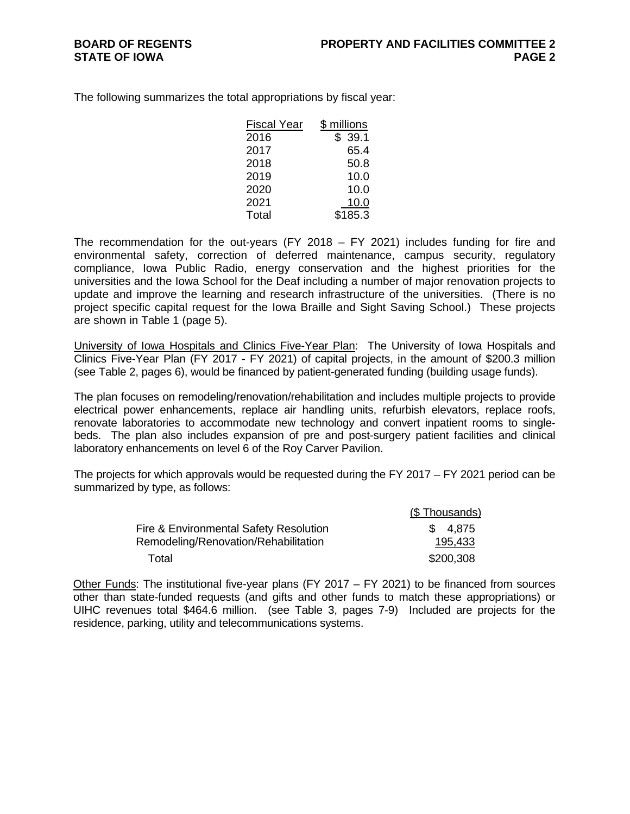The following summarizes the total appropriations by fiscal year:

| <b>Fiscal Year</b> | \$ millions |
|--------------------|-------------|
| 2016               | \$39.1      |
| 2017               | 65.4        |
| 2018               | 50.8        |
| 2019               | 10.0        |
| 2020               | 10.0        |
| 2021               | 10.0        |
| Total              | \$185.3     |

The recommendation for the out-years (FY 2018  $-$  FY 2021) includes funding for fire and environmental safety, correction of deferred maintenance, campus security, regulatory compliance, Iowa Public Radio, energy conservation and the highest priorities for the universities and the Iowa School for the Deaf including a number of major renovation projects to update and improve the learning and research infrastructure of the universities. (There is no project specific capital request for the Iowa Braille and Sight Saving School.) These projects are shown in Table 1 (page 5).

University of Iowa Hospitals and Clinics Five-Year Plan: The University of Iowa Hospitals and Clinics Five-Year Plan (FY 2017 - FY 2021) of capital projects, in the amount of \$200.3 million (see Table 2, pages 6), would be financed by patient-generated funding (building usage funds).

The plan focuses on remodeling/renovation/rehabilitation and includes multiple projects to provide electrical power enhancements, replace air handling units, refurbish elevators, replace roofs, renovate laboratories to accommodate new technology and convert inpatient rooms to singlebeds. The plan also includes expansion of pre and post-surgery patient facilities and clinical laboratory enhancements on level 6 of the Roy Carver Pavilion.

The projects for which approvals would be requested during the FY 2017 – FY 2021 period can be summarized by type, as follows:

|                                        | (\$Thousands) |
|----------------------------------------|---------------|
| Fire & Environmental Safety Resolution | \$ 4.875      |
| Remodeling/Renovation/Rehabilitation   | 195,433       |
| Total                                  | \$200,308     |

Other Funds: The institutional five-year plans (FY 2017 – FY 2021) to be financed from sources other than state-funded requests (and gifts and other funds to match these appropriations) or UIHC revenues total \$464.6 million. (see Table 3, pages 7-9) Included are projects for the residence, parking, utility and telecommunications systems.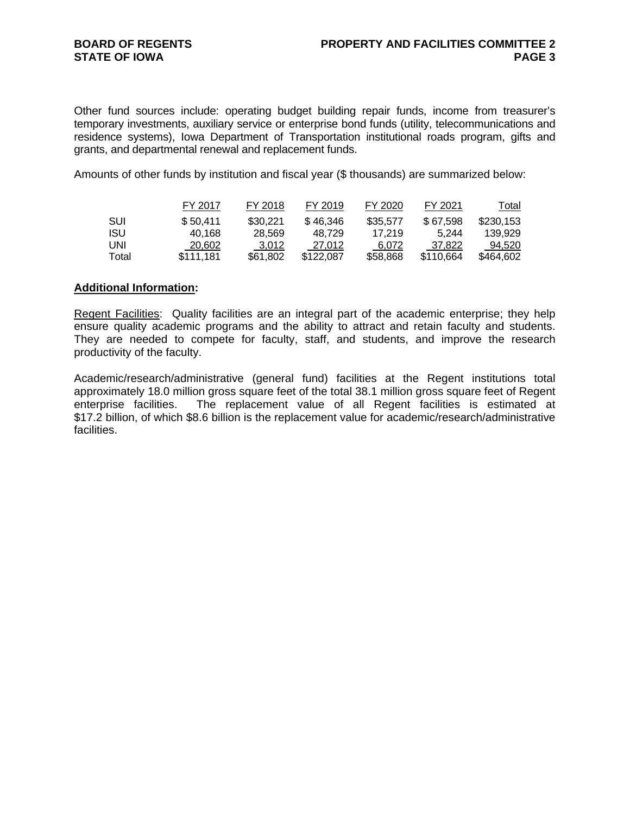Other fund sources include: operating budget building repair funds, income from treasurer's temporary investments, auxiliary service or enterprise bond funds (utility, telecommunications and residence systems), Iowa Department of Transportation institutional roads program, gifts and grants, and departmental renewal and replacement funds.

Amounts of other funds by institution and fiscal year (\$ thousands) are summarized below:

|            | FY 2017   | FY 2018  | FY 2019   | FY 2020  | FY 2021   | Total     |
|------------|-----------|----------|-----------|----------|-----------|-----------|
| SUI        | \$50.411  | \$30,221 | \$46.346  | \$35,577 | \$67.598  | \$230,153 |
| <b>ISU</b> | 40.168    | 28.569   | 48.729    | 17.219   | 5.244     | 139.929   |
| UNI        | 20,602    | 3.012    | 27.012    | 6.072    | 37.822    | 94.520    |
| Total      | \$111.181 | \$61.802 | \$122,087 | \$58,868 | \$110.664 | \$464,602 |

#### **Additional Information:**

Regent Facilities:Quality facilities are an integral part of the academic enterprise; they help ensure quality academic programs and the ability to attract and retain faculty and students. They are needed to compete for faculty, staff, and students, and improve the research productivity of the faculty.

Academic/research/administrative (general fund) facilities at the Regent institutions total approximately 18.0 million gross square feet of the total 38.1 million gross square feet of Regent enterprise facilities. The replacement value of all Regent facilities is estimated at \$17.2 billion, of which \$8.6 billion is the replacement value for academic/research/administrative facilities.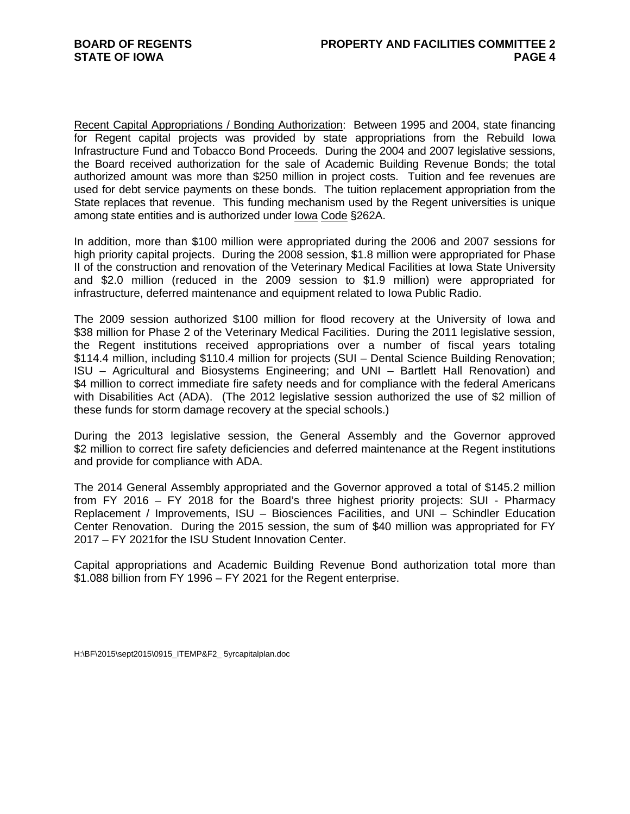Recent Capital Appropriations / Bonding Authorization: Between 1995 and 2004, state financing for Regent capital projects was provided by state appropriations from the Rebuild Iowa Infrastructure Fund and Tobacco Bond Proceeds. During the 2004 and 2007 legislative sessions, the Board received authorization for the sale of Academic Building Revenue Bonds; the total authorized amount was more than \$250 million in project costs. Tuition and fee revenues are used for debt service payments on these bonds. The tuition replacement appropriation from the State replaces that revenue. This funding mechanism used by the Regent universities is unique among state entities and is authorized under Iowa Code §262A.

In addition, more than \$100 million were appropriated during the 2006 and 2007 sessions for high priority capital projects. During the 2008 session, \$1.8 million were appropriated for Phase II of the construction and renovation of the Veterinary Medical Facilities at Iowa State University and \$2.0 million (reduced in the 2009 session to \$1.9 million) were appropriated for infrastructure, deferred maintenance and equipment related to Iowa Public Radio.

The 2009 session authorized \$100 million for flood recovery at the University of Iowa and \$38 million for Phase 2 of the Veterinary Medical Facilities. During the 2011 legislative session, the Regent institutions received appropriations over a number of fiscal years totaling \$114.4 million, including \$110.4 million for projects (SUI – Dental Science Building Renovation; ISU – Agricultural and Biosystems Engineering; and UNI – Bartlett Hall Renovation) and \$4 million to correct immediate fire safety needs and for compliance with the federal Americans with Disabilities Act (ADA). (The 2012 legislative session authorized the use of \$2 million of these funds for storm damage recovery at the special schools.)

During the 2013 legislative session, the General Assembly and the Governor approved \$2 million to correct fire safety deficiencies and deferred maintenance at the Regent institutions and provide for compliance with ADA.

The 2014 General Assembly appropriated and the Governor approved a total of \$145.2 million from FY 2016 – FY 2018 for the Board's three highest priority projects: SUI - Pharmacy Replacement / Improvements, ISU – Biosciences Facilities, and UNI – Schindler Education Center Renovation. During the 2015 session, the sum of \$40 million was appropriated for FY 2017 – FY 2021for the ISU Student Innovation Center.

Capital appropriations and Academic Building Revenue Bond authorization total more than \$1.088 billion from FY 1996 – FY 2021 for the Regent enterprise.

H:\BF\2015\sept2015\0915\_ITEMP&F2\_ 5yrcapitalplan.doc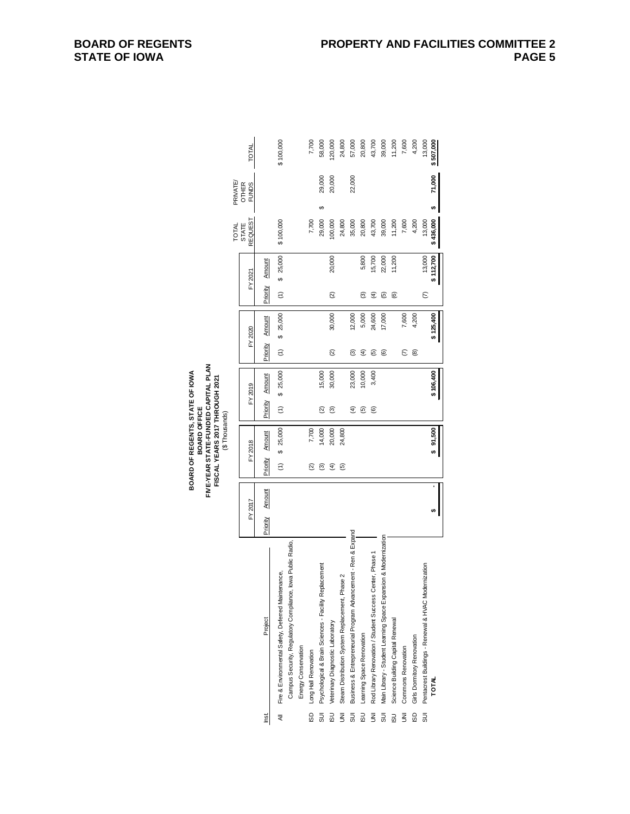|               |              | TOTAL                   |          |          | \$100,000                                          |                                                            |                     | 7,700                | 58,000                                                | 20,000                           | 24,800                                         | 57,000                                                        | 20,800                    | 43,700                                                      | 39,000                                                          | 11,200                           | 7,600                     | 4,200                      | 13,000                                                     | \$507,000      |
|---------------|--------------|-------------------------|----------|----------|----------------------------------------------------|------------------------------------------------------------|---------------------|----------------------|-------------------------------------------------------|----------------------------------|------------------------------------------------|---------------------------------------------------------------|---------------------------|-------------------------------------------------------------|-----------------------------------------------------------------|----------------------------------|---------------------------|----------------------------|------------------------------------------------------------|----------------|
|               | PRIVATE/     | OTHER<br>FUNDS          |          |          |                                                    |                                                            |                     |                      | 29,000                                                | 20,000                           |                                                | 22,000                                                        |                           |                                                             |                                                                 |                                  |                           |                            |                                                            | 71,000         |
|               | <b>TOTAL</b> | REQUEST<br><b>STATE</b> |          |          | \$100,000                                          |                                                            |                     | 7,700                | မာ<br>29,000                                          | 100,000                          | 24,800                                         | 35,000                                                        | 20,800                    | 43,700                                                      | 39,000                                                          | 11,200                           | 7,600                     | 4,200                      | 13,000                                                     | ¢<br>\$436,000 |
|               |              | FY 2021                 |          | Amount   | \$25,000                                           |                                                            |                     |                      |                                                       | 20,000                           |                                                |                                                               | 5,800                     | 15,700                                                      | 22,000                                                          | 11,200                           |                           |                            | 13,000                                                     | \$112,700      |
|               |              |                         | Priority |          | $\widehat{z}$                                      |                                                            |                     |                      |                                                       | Q                                |                                                |                                                               | ම                         | E                                                           | ම                                                               | ම                                |                           |                            | $\epsilon$                                                 |                |
|               |              | FY 2020                 |          | Amount   | \$25,000                                           |                                                            |                     |                      |                                                       | 30,000                           |                                                | 12,000                                                        | 5,000                     | 24,600                                                      | 17,000                                                          |                                  | 7,600                     | 4,200                      |                                                            | \$125,400      |
|               |              |                         | Priority |          | $\widehat{z}$                                      |                                                            |                     |                      |                                                       | $\widehat{\alpha}$               |                                                | ම                                                             | E                         | ම                                                           | <u>ම</u>                                                        |                                  | E                         | ම                          |                                                            |                |
|               |              | FY 2019                 |          | Amount   | \$25,000                                           |                                                            |                     |                      | 15,000                                                | 30,000                           |                                                | 23,000                                                        | 10,000                    | 3,400                                                       |                                                                 |                                  |                           |                            |                                                            | \$106,400      |
|               |              |                         | Priority |          | $\widehat{\tau}$                                   |                                                            |                     |                      | ହ                                                     | ම                                |                                                | E                                                             | 叵                         | ම                                                           |                                                                 |                                  |                           |                            |                                                            |                |
| (⊅ Inousands) |              | FY 2018                 |          | Amount   | \$ 25,000                                          |                                                            |                     | 7,700                | 14,000                                                | 20,000                           | 24,800                                         |                                                               |                           |                                                             |                                                                 |                                  |                           |                            |                                                            | \$91,500       |
|               |              |                         |          | Priority | $\widehat{\epsilon}$                               |                                                            |                     | ହ                    | ල                                                     | $\widehat{E}$                    | ම                                              |                                                               |                           |                                                             |                                                                 |                                  |                           |                            |                                                            |                |
|               |              | FY 2017                 | Priority | Amount   |                                                    |                                                            |                     |                      |                                                       |                                  |                                                |                                                               |                           |                                                             |                                                                 |                                  |                           |                            |                                                            | ↮              |
|               |              |                         | Project  |          | Fire & Environmental Safety, Deferred Maintenance, | Campus Security, Regulatory Compliance, lowa Public Radio, | Energy Conservation | Long Hall Renovation | Psychological & Brain Sciences - Facility Replacement | Veterinary Diagnostic Laboratory | Steam Distribution System Replacement, Phase 2 | Business & Entrepreneurial Program Advancement - Ren & Expand | Learning Space Renovation | Center, Phase 1<br>Rod Library Renovation / Student Success | Main Library - Student Learning Space Expansion & Modernization | Science Building Capital Renewal | <b>Commons Renovation</b> | Girls Dormitory Renovation | Pentacrest Buildings - Renewal & HVAC Modernization<br>SUI | TOTAL          |
|               |              |                         |          | lig1     | ₹                                                  |                                                            |                     | ISD                  | SU <sub>S</sub>                                       | $\frac{1}{2}$                    | ξ                                              | 5D                                                            | $\frac{1}{2}$             | $\overline{5}$                                              | 50                                                              | $\overline{5}$                   | $\bar{z}$                 | ISD                        |                                                            |                |

**BOARD OF REGENTS, STATE OF IOWA<br>FWE-YEAR STATE-FUNDED CAPITAL PLAN<br>FISCAL YEAR S 2017 THROUGH 2021 FIVE-YEAR STATE-FUNDED CAPITAL PLAN BOARD OF REGENTS, STATE OF IOWA FISCAL YEARS 2017 THROUGH 2021 BOARD OFFICE** (\$ Thousands)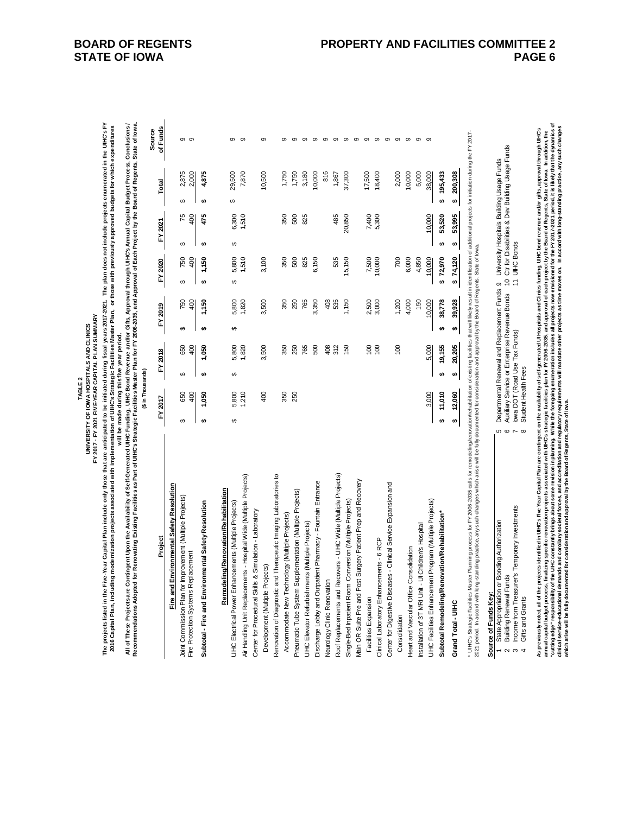The projects listed in the Five-Year Capital Plan include only those that are anticipated to be initiated during fiscal years 2017-2021. The plan does not include projects enumerated in the UHC's FY<br>2016 Capital Plan, inc **The projects listed in the Five-Year Capital Plan include only those that are anticipated to be initiated during fiscal years 2017-2021. The plan does not include projects enumerated in the UIHC's FY 2016 Capital Plan, including modernization projects associated with implementation of UIHC's Strategic Facilities Master Plan, or those with previously approved budgets for which expenditures** 

will be made during this five year period. **will be made during this five year period.**

All of These Projects are Contingent Upon the Availability of Self-Generated UHC Eunding, UHC Bond Revenue and/or Gifts, Approval through UHC's Annual Capital Budget Process, Conclusions /<br>Recommendations Adopted for Renov **All of These Projects are Contingent Upon the Availability of Self-Generated UIHC Funding, UIHC Bond Revenue and/or Gifts, Approval through UIHC's Annual Capital Budget Process, Conclusions / Recommendations Adopted for Renovating Existing Facilities as Part of UIHC's Strategic Facilities Master Plan for FY 2006-2035, and Approval of Each Project by the Board of Regents, State of Iowa.**

| 1,510<br>5,300<br>75<br>475<br>6,300<br>350<br>500<br>825<br>485<br>20,850<br>7,400<br>400<br>FY 2021<br>₩,<br>$\Theta$<br>€<br>5,800<br>535<br>1,510<br>3,100<br>825<br>6,150<br>7,500<br>10,000<br>FY 2020<br>1,150<br>350<br>500<br>15,150<br>750<br>400<br><del>ی</del><br>$\Theta$<br>မာ<br>1,820<br>3,500<br>535<br>2,500<br>3,000<br>750<br>400<br>1,150<br>5,800<br>350<br>250<br>765<br>3,350<br>408<br>1,150<br>FY 2019<br>↮<br>$\theta$<br>€<br>5,800<br>1,820<br>3,500<br>250<br>765<br>500<br>408<br>312<br>150<br>100<br>650<br>1,050<br>350<br>100<br>400<br>FY 2018<br>₩,<br>$\Theta$<br>€<br>5,800<br>210<br>400<br>350<br>250<br>650<br>400<br>1,050<br>FY 2017<br>$\Theta$<br>£۵<br>↮<br>Therapeutic Imaging Laboratories to<br>Roof Replacements and Recovers - UIHC Wide (Multiple Projects)<br>ts - Hospital Wide (Multiple Projects)<br>Main OR Suite Pre and Post Surgery Patient Prep and Recovery<br>Discharge Lobby and Outpatient Pharmacy - Fountain Entrance<br><b>ivironmental Safety Resolution</b><br>Remodeling/Renovation/Rehabilitation<br>Pneumatic Tube System Supplementation (Multiple Projects)<br>Joint Commission Plan for Improvement (Multiple Projects)<br>Single-Bed Inpatient Room Conversion (Multiple Projects)<br>Subtotal - Fire and Environmental Safety Resolution<br>UIHC Electrical Power Enhancements (Multiple Projects)<br>Simulation - Laboratory<br>Accommodate New Technology (Multiple Projects)<br>UIHC Elevator Refurbishments (Multiple Projects)<br>Project<br>Clinical Laboratory Enhancements - 6 RCP<br>Fire Protection Systems Replacement<br>Development (Multiple Projects)<br>Air Handling Unit Replacemen<br>Center for Procedural Skills &<br>Renovation of Diagnostic and<br>Fire and Er<br>Neurology Clinic Renovation<br>Facilities Expansion | 2,875<br>4,875<br>2,000<br>29,500<br>7,870<br>10,500<br>1,750<br>3,180<br>1,750<br>Total<br>tf.<br>↔<br>↔ | of Funds<br>Source<br>$\sigma$<br>ၜ<br>σ<br>တ<br>თ<br>ග<br>ග<br>ග |
|------------------------------------------------------------------------------------------------------------------------------------------------------------------------------------------------------------------------------------------------------------------------------------------------------------------------------------------------------------------------------------------------------------------------------------------------------------------------------------------------------------------------------------------------------------------------------------------------------------------------------------------------------------------------------------------------------------------------------------------------------------------------------------------------------------------------------------------------------------------------------------------------------------------------------------------------------------------------------------------------------------------------------------------------------------------------------------------------------------------------------------------------------------------------------------------------------------------------------------------------------------------------------------------------------------------------------------------------------------------------------------------------------------------------------------------------------------------------------------------------------------------------------------------------------------------------------------------------------------------------------------------------------------------------------------------------------------------------------------------------------------------------------------------------------------------------------|-----------------------------------------------------------------------------------------------------------|-------------------------------------------------------------------|
|                                                                                                                                                                                                                                                                                                                                                                                                                                                                                                                                                                                                                                                                                                                                                                                                                                                                                                                                                                                                                                                                                                                                                                                                                                                                                                                                                                                                                                                                                                                                                                                                                                                                                                                                                                                                                              |                                                                                                           |                                                                   |
|                                                                                                                                                                                                                                                                                                                                                                                                                                                                                                                                                                                                                                                                                                                                                                                                                                                                                                                                                                                                                                                                                                                                                                                                                                                                                                                                                                                                                                                                                                                                                                                                                                                                                                                                                                                                                              |                                                                                                           |                                                                   |
|                                                                                                                                                                                                                                                                                                                                                                                                                                                                                                                                                                                                                                                                                                                                                                                                                                                                                                                                                                                                                                                                                                                                                                                                                                                                                                                                                                                                                                                                                                                                                                                                                                                                                                                                                                                                                              |                                                                                                           |                                                                   |
|                                                                                                                                                                                                                                                                                                                                                                                                                                                                                                                                                                                                                                                                                                                                                                                                                                                                                                                                                                                                                                                                                                                                                                                                                                                                                                                                                                                                                                                                                                                                                                                                                                                                                                                                                                                                                              |                                                                                                           |                                                                   |
|                                                                                                                                                                                                                                                                                                                                                                                                                                                                                                                                                                                                                                                                                                                                                                                                                                                                                                                                                                                                                                                                                                                                                                                                                                                                                                                                                                                                                                                                                                                                                                                                                                                                                                                                                                                                                              |                                                                                                           |                                                                   |
|                                                                                                                                                                                                                                                                                                                                                                                                                                                                                                                                                                                                                                                                                                                                                                                                                                                                                                                                                                                                                                                                                                                                                                                                                                                                                                                                                                                                                                                                                                                                                                                                                                                                                                                                                                                                                              |                                                                                                           |                                                                   |
|                                                                                                                                                                                                                                                                                                                                                                                                                                                                                                                                                                                                                                                                                                                                                                                                                                                                                                                                                                                                                                                                                                                                                                                                                                                                                                                                                                                                                                                                                                                                                                                                                                                                                                                                                                                                                              |                                                                                                           |                                                                   |
|                                                                                                                                                                                                                                                                                                                                                                                                                                                                                                                                                                                                                                                                                                                                                                                                                                                                                                                                                                                                                                                                                                                                                                                                                                                                                                                                                                                                                                                                                                                                                                                                                                                                                                                                                                                                                              |                                                                                                           |                                                                   |
|                                                                                                                                                                                                                                                                                                                                                                                                                                                                                                                                                                                                                                                                                                                                                                                                                                                                                                                                                                                                                                                                                                                                                                                                                                                                                                                                                                                                                                                                                                                                                                                                                                                                                                                                                                                                                              |                                                                                                           |                                                                   |
|                                                                                                                                                                                                                                                                                                                                                                                                                                                                                                                                                                                                                                                                                                                                                                                                                                                                                                                                                                                                                                                                                                                                                                                                                                                                                                                                                                                                                                                                                                                                                                                                                                                                                                                                                                                                                              |                                                                                                           |                                                                   |
|                                                                                                                                                                                                                                                                                                                                                                                                                                                                                                                                                                                                                                                                                                                                                                                                                                                                                                                                                                                                                                                                                                                                                                                                                                                                                                                                                                                                                                                                                                                                                                                                                                                                                                                                                                                                                              |                                                                                                           |                                                                   |
|                                                                                                                                                                                                                                                                                                                                                                                                                                                                                                                                                                                                                                                                                                                                                                                                                                                                                                                                                                                                                                                                                                                                                                                                                                                                                                                                                                                                                                                                                                                                                                                                                                                                                                                                                                                                                              |                                                                                                           |                                                                   |
|                                                                                                                                                                                                                                                                                                                                                                                                                                                                                                                                                                                                                                                                                                                                                                                                                                                                                                                                                                                                                                                                                                                                                                                                                                                                                                                                                                                                                                                                                                                                                                                                                                                                                                                                                                                                                              |                                                                                                           |                                                                   |
|                                                                                                                                                                                                                                                                                                                                                                                                                                                                                                                                                                                                                                                                                                                                                                                                                                                                                                                                                                                                                                                                                                                                                                                                                                                                                                                                                                                                                                                                                                                                                                                                                                                                                                                                                                                                                              |                                                                                                           |                                                                   |
|                                                                                                                                                                                                                                                                                                                                                                                                                                                                                                                                                                                                                                                                                                                                                                                                                                                                                                                                                                                                                                                                                                                                                                                                                                                                                                                                                                                                                                                                                                                                                                                                                                                                                                                                                                                                                              | 10,000                                                                                                    |                                                                   |
|                                                                                                                                                                                                                                                                                                                                                                                                                                                                                                                                                                                                                                                                                                                                                                                                                                                                                                                                                                                                                                                                                                                                                                                                                                                                                                                                                                                                                                                                                                                                                                                                                                                                                                                                                                                                                              | 816                                                                                                       | თ                                                                 |
|                                                                                                                                                                                                                                                                                                                                                                                                                                                                                                                                                                                                                                                                                                                                                                                                                                                                                                                                                                                                                                                                                                                                                                                                                                                                                                                                                                                                                                                                                                                                                                                                                                                                                                                                                                                                                              | 1,867                                                                                                     | ග                                                                 |
|                                                                                                                                                                                                                                                                                                                                                                                                                                                                                                                                                                                                                                                                                                                                                                                                                                                                                                                                                                                                                                                                                                                                                                                                                                                                                                                                                                                                                                                                                                                                                                                                                                                                                                                                                                                                                              | 37,300                                                                                                    | ග                                                                 |
|                                                                                                                                                                                                                                                                                                                                                                                                                                                                                                                                                                                                                                                                                                                                                                                                                                                                                                                                                                                                                                                                                                                                                                                                                                                                                                                                                                                                                                                                                                                                                                                                                                                                                                                                                                                                                              |                                                                                                           | σ                                                                 |
|                                                                                                                                                                                                                                                                                                                                                                                                                                                                                                                                                                                                                                                                                                                                                                                                                                                                                                                                                                                                                                                                                                                                                                                                                                                                                                                                                                                                                                                                                                                                                                                                                                                                                                                                                                                                                              | 17,500                                                                                                    | $\sigma$                                                          |
|                                                                                                                                                                                                                                                                                                                                                                                                                                                                                                                                                                                                                                                                                                                                                                                                                                                                                                                                                                                                                                                                                                                                                                                                                                                                                                                                                                                                                                                                                                                                                                                                                                                                                                                                                                                                                              | 18,400                                                                                                    | $\sigma$                                                          |
| Center for Digestive Diseases - Clinical Service Expansion and                                                                                                                                                                                                                                                                                                                                                                                                                                                                                                                                                                                                                                                                                                                                                                                                                                                                                                                                                                                                                                                                                                                                                                                                                                                                                                                                                                                                                                                                                                                                                                                                                                                                                                                                                               |                                                                                                           | ၜ                                                                 |
| 700<br>1,200<br>100<br>Consolidation                                                                                                                                                                                                                                                                                                                                                                                                                                                                                                                                                                                                                                                                                                                                                                                                                                                                                                                                                                                                                                                                                                                                                                                                                                                                                                                                                                                                                                                                                                                                                                                                                                                                                                                                                                                         | 2,000                                                                                                     | σ                                                                 |
| 6,000<br>4,000<br>Heart and Vascular Office Consolidation                                                                                                                                                                                                                                                                                                                                                                                                                                                                                                                                                                                                                                                                                                                                                                                                                                                                                                                                                                                                                                                                                                                                                                                                                                                                                                                                                                                                                                                                                                                                                                                                                                                                                                                                                                    | 10,000                                                                                                    | ၜ                                                                 |
| 4,850<br>150<br>Children's Hospital<br>Installation of 3T MRI Unit - UI                                                                                                                                                                                                                                                                                                                                                                                                                                                                                                                                                                                                                                                                                                                                                                                                                                                                                                                                                                                                                                                                                                                                                                                                                                                                                                                                                                                                                                                                                                                                                                                                                                                                                                                                                      | 5,000                                                                                                     | თ                                                                 |
| 10,000<br>10,000<br>10,000<br>5,000<br>3,000<br>Program (Multiple Projects)<br>UIHC Facilities Enhancement                                                                                                                                                                                                                                                                                                                                                                                                                                                                                                                                                                                                                                                                                                                                                                                                                                                                                                                                                                                                                                                                                                                                                                                                                                                                                                                                                                                                                                                                                                                                                                                                                                                                                                                   | 38,000                                                                                                    | တ                                                                 |
| 53,520<br>₩,<br>\$72,970<br>38,778<br>↮<br>19,155<br>₩,<br>11,010<br>₩,<br>Subtotal Remodeling/Renovation/Rehabilitation*                                                                                                                                                                                                                                                                                                                                                                                                                                                                                                                                                                                                                                                                                                                                                                                                                                                                                                                                                                                                                                                                                                                                                                                                                                                                                                                                                                                                                                                                                                                                                                                                                                                                                                    | 195,433<br>s,                                                                                             |                                                                   |
| 53,995<br>↮<br>\$74,120<br>39,928<br>↮<br>20,205<br>↮<br>12,060<br>↮<br>Grand Total - UIHC                                                                                                                                                                                                                                                                                                                                                                                                                                                                                                                                                                                                                                                                                                                                                                                                                                                                                                                                                                                                                                                                                                                                                                                                                                                                                                                                                                                                                                                                                                                                                                                                                                                                                                                                   | 200,308<br>↮                                                                                              |                                                                   |

2021 period. In accord with long-standing practice, any such changes which arise will be fully documented for consideration and approval by the Board of Regents, State of Iowa. 2021 period. In accord with long-standing practice, any such changes which arise will be fully documented for consideration and approval by the Board of Regents, State of lowa.

# Source of Funds Key: **Source of Funds Key:**

|        | source or Furias Rey.                                 |                                                                                                     |        |
|--------|-------------------------------------------------------|-----------------------------------------------------------------------------------------------------|--------|
|        | ate Ar                                                | keplacement Funds 9 University Hospitals Building Usage<br>al Ranawa kwa R<br>Department:<br>ć<br>Ï | ₹<br>⊔ |
|        | cunds,<br>2 Building Renewal                          | Auxiliary Service or Enterprise Revenue Bonds 10 Ctr for Disabilities & Dev Bu.<br>$\alpha$         | Usage  |
| ¢<br>¢ | ier.<br>he from Treasurer's Temporal<br><b>Income</b> | <b>AHC Bonds</b><br>7 lowa DOT (Road Use Tax Funds)                                                 |        |
|        |                                                       | lth F<br>Tudent Healy                                                                               |        |

Departmental Renewal and Replacement Funds 9 University Hospitals Building Usage Funds<br>Auxiliary Service or Enterprise Revenue Bonds 10 Ctr for Disabilities & Dev Building Usage Funds<br>Iowa DOT (Road Use Tax Funds) 2 Building Renewal Funds 6 Auxiliary Service or Enterprise Revenue Bonds 10 Ctr for Disabilities & Dev Building Usage Funds 3 Income from Treasurer's Temporary Investments 7 Iowa DOT (Road Use Tax Funds) 11 UIHC Bonds Student Health Fees  $\circ$ 

As previously noted, all of the projects identified in UHC's Five Year Capital Plan are contingent on the availability of self-generated UI Hospitals and Clinics funding, UHC bond rewenue and/or gifts, approval through UHC cutting edge" responsibility of the UIHC constantly brings about some revision in planning. While the foregoing enumeration includes all projects now envisioned for the FY 2017-2021 period, it is likely that the dynamics o **clinical service-educational demands and corollary societal forces, and accreditation and regulatory requirements will mandate other projects as time moves on. In accord with long-standing practice, any such changes**  As previously noted, all of the projects identified in UHC's Five Year Capital Plan are contingent on the availability of self-generated UI Hospitals and Clinics funding, UIHC bond revenue and/or gifts, approval through UI annual capital budget process, finalizing specific renovation projects associated with("S strategic facilities plan for FY 2006-2035, and approval of each project by the Board of Regents, State of lowa. In addition, the **which arise will be fully documented for consideration and approval by the Board of Regents, State of Iowa.**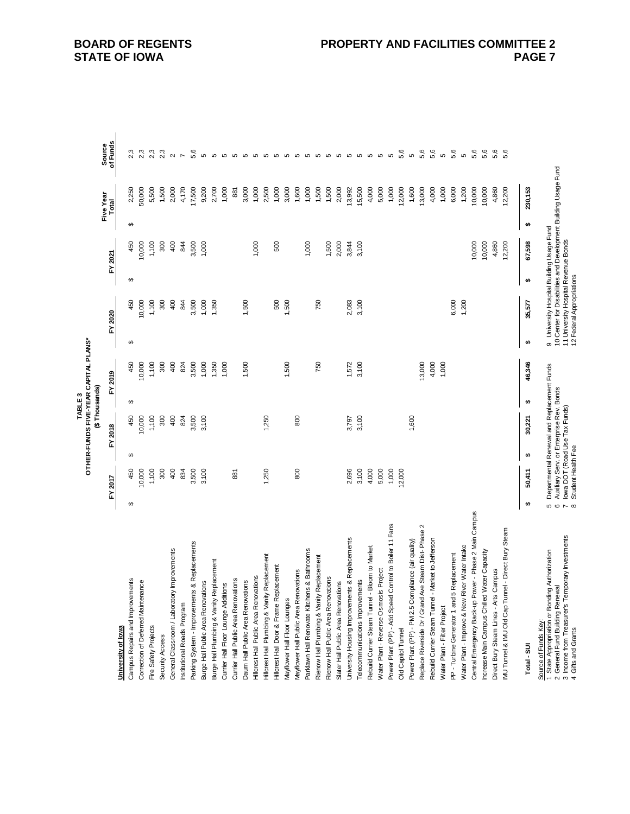|                                                                                                                   |                        |                    |   |                                                                                        | (\$Thousands)<br>TABLE <sub>3</sub> | OTHER-FUNDS FIVE-YEAR CAPITAL PLANS* |   |                                                                                                             |   |         |   |                    |                    |
|-------------------------------------------------------------------------------------------------------------------|------------------------|--------------------|---|----------------------------------------------------------------------------------------|-------------------------------------|--------------------------------------|---|-------------------------------------------------------------------------------------------------------------|---|---------|---|--------------------|--------------------|
|                                                                                                                   |                        | FY 2017            | ≿ | 2018                                                                                   |                                     | FY 2019                              |   | FY 2020                                                                                                     |   | FY 2021 |   | Five Year<br>Total | of Funds<br>Source |
| University of Iowa                                                                                                |                        |                    |   |                                                                                        |                                     |                                      | ↮ |                                                                                                             | ↮ |         |   |                    |                    |
| Campus Repairs and Improvements                                                                                   | ↮                      | 450<br>10,000      | ↮ | 450                                                                                    | ↮                                   | 450                                  |   | 450                                                                                                         |   | 450     | ↮ | 2,250<br>50,000    |                    |
| Correction of Deferred Maintenance                                                                                |                        |                    |   | 10,000                                                                                 |                                     | 10,000                               |   | 10,000                                                                                                      |   | 10,000  |   |                    |                    |
| Fire Safety Projects                                                                                              |                        | 1,100              |   | 1,100                                                                                  |                                     | 1,100                                |   | 1,100                                                                                                       |   | 1,100   |   | 5,500              | 2,3                |
| Security Access                                                                                                   |                        | 300                |   | 300                                                                                    |                                     | 300                                  |   | 300                                                                                                         |   | 300     |   | 1,500              | 2,3                |
| Improvements<br>General Classroom / Laboratory                                                                    |                        | 400                |   | 400                                                                                    |                                     | 400                                  |   | 400                                                                                                         |   | 400     |   | 2,000              | $\sim$             |
| Institutional Roads Program                                                                                       |                        | 834                |   | 824                                                                                    |                                     | 824                                  |   | 844                                                                                                         |   | 844     |   | 4,170              | $\overline{ }$     |
| Parking System - Improvements & Replacements                                                                      |                        | 3,500              |   | 3,500                                                                                  |                                     | 3,500                                |   | 3,500                                                                                                       |   | 3,500   |   | 17,500             | 5,6                |
| Burge Hall Public Area Renovations                                                                                |                        | 3,100              |   | 3,100                                                                                  |                                     | 1,000                                |   | 1,000                                                                                                       |   | 1,000   |   | 9,200              | Ю                  |
| Burge Hall Plumbing & Vanity Replacement                                                                          |                        |                    |   |                                                                                        |                                     | 1,350                                |   | 1,350                                                                                                       |   |         |   | 2,700              |                    |
| Currier Hall Floor Lounge Additions                                                                               |                        |                    |   |                                                                                        |                                     | 1,000                                |   |                                                                                                             |   |         |   | 1,000              |                    |
| Currier Hall Public Area Renovations                                                                              |                        | 881                |   |                                                                                        |                                     |                                      |   |                                                                                                             |   |         |   | 881                |                    |
| Daum Hall Public Area Renovations                                                                                 |                        |                    |   |                                                                                        |                                     | 1,500                                |   | 1,500                                                                                                       |   |         |   | 3,000              |                    |
| Hilcrest Hall Public Area Renovations                                                                             |                        |                    |   |                                                                                        |                                     |                                      |   |                                                                                                             |   | 1,000   |   | 1,000              |                    |
| Hillcrest Hall Plumbing & Vanity Replacement                                                                      |                        | 1,250              |   | 1,250                                                                                  |                                     |                                      |   |                                                                                                             |   |         |   | 2,500              |                    |
| Hillcrest Hall Door & Frame Replacement                                                                           |                        |                    |   |                                                                                        |                                     |                                      |   | 500                                                                                                         |   | 500     |   | 1,000              |                    |
| Mayflower Hall Floor Lounges                                                                                      |                        |                    |   |                                                                                        |                                     | 1,500                                |   | 1,500                                                                                                       |   |         |   | 3,000              |                    |
| Mayflower Hall Public Area Renovations                                                                            |                        | 800                |   | 800                                                                                    |                                     |                                      |   |                                                                                                             |   |         |   | 1,600              |                    |
| Parklawn Hall Renovate Kitchens & Bathrooms                                                                       |                        |                    |   |                                                                                        |                                     |                                      |   |                                                                                                             |   | 1,000   |   | 1,000              |                    |
| Rienow Hall Plumbing & Vanity Replacement                                                                         |                        |                    |   |                                                                                        |                                     | 750                                  |   | 750                                                                                                         |   |         |   | 1,500              |                    |
| Rienow Hall Public Area Renovations                                                                               |                        |                    |   |                                                                                        |                                     |                                      |   |                                                                                                             |   | 1,500   |   | 1,500              |                    |
| Slater Hall Public Area Renovations                                                                               |                        |                    |   |                                                                                        |                                     |                                      |   |                                                                                                             |   | 2,000   |   | 2,000              |                    |
| University Housing Improvements & Replacements                                                                    |                        | 2,696              |   | 3,797                                                                                  |                                     | 1,572                                |   | 2,083                                                                                                       |   | 3,844   |   | 13,992             |                    |
| Telecommunications Improvements                                                                                   |                        | 3,100              |   | 3,100                                                                                  |                                     | 3,100                                |   | 3,100                                                                                                       |   | 3,100   |   | 15,500             |                    |
| <b>Bloom to Market</b><br>Rebuild Currier Steam Tunnel -                                                          |                        | 4,000              |   |                                                                                        |                                     |                                      |   |                                                                                                             |   |         |   | 4,000              |                    |
| Project<br>Water Plant - Reverse Osmosis                                                                          |                        | 5,000              |   |                                                                                        |                                     |                                      |   |                                                                                                             |   |         |   | 5,000              |                    |
| Power Plant (PP) - Add Speed Control to Boiler 11 Fans                                                            |                        | 1,000              |   |                                                                                        |                                     |                                      |   |                                                                                                             |   |         |   | 1,000              |                    |
| Old Capitol Tunnel                                                                                                |                        | 12,000             |   |                                                                                        |                                     |                                      |   |                                                                                                             |   |         |   | 12,000             | 5,6                |
| Power Plant (PP) - PM 2.5 Compliance (air quality)                                                                |                        |                    |   | 1,600                                                                                  |                                     |                                      |   |                                                                                                             |   |         |   | 1,600              | Ю                  |
| Replace Riverside Dr / Grand Ave Steam Dist- Phase 2                                                              |                        |                    |   |                                                                                        |                                     | 13,000                               |   |                                                                                                             |   |         |   | 13,000             | 5,6                |
| Market to Jefferson<br>Rebuild Currier Steam Tunnel -                                                             |                        |                    |   |                                                                                        |                                     | 4,000                                |   |                                                                                                             |   |         |   | 4,000              | 5,6                |
| Water Plant - Filter Project                                                                                      |                        |                    |   |                                                                                        |                                     | 1,000                                |   |                                                                                                             |   |         |   | 1,000              | Ю                  |
| PP - Turbine Generator 1 and 5 Replacement                                                                        |                        |                    |   |                                                                                        |                                     |                                      |   | 6,000                                                                                                       |   |         |   | 6,000              | 5,6                |
| Water Plant - Improve & New River Water Intake                                                                    |                        |                    |   |                                                                                        |                                     |                                      |   | 1,200                                                                                                       |   |         |   | 1,200              | Ю                  |
| Central Emergency Back-up Power - Phase 2 Main Campus                                                             |                        |                    |   |                                                                                        |                                     |                                      |   |                                                                                                             |   | 10,000  |   | 10,000             | 5,6                |
| Increase Main Campus Chilled Water Capacity                                                                       |                        |                    |   |                                                                                        |                                     |                                      |   |                                                                                                             |   | 10,000  |   | 10,000             | 5,6                |
| Direct Bury Steam Lines - Arts Campus                                                                             |                        |                    |   |                                                                                        |                                     |                                      |   |                                                                                                             |   | 4,860   |   | 4,860              | 5,6                |
| IMU Tunnel & IMU Old Cap Tunnel - Direct Bury Steam                                                               |                        |                    |   |                                                                                        |                                     |                                      |   |                                                                                                             |   | 12,200  |   | 12,200             | 5,6                |
| Total - SUI                                                                                                       | $\bullet$              | 50,411             | ↮ | 30,221                                                                                 | ↮                                   | 46,346                               | ↮ | 35,577                                                                                                      | ↮ | 67,598  | ₩ | 230,153            |                    |
| 1 State Appropriation or Bonding Authorization<br>General Fund Building Renewal<br>Source of Funds Key:<br>$\sim$ | 5                      |                    |   | Departmental Renewal and Replacement Funds<br>Auxiliary Serv. or Enterprise Rev. Bonds |                                     |                                      |   | 10 Center for Disabilities and Development Building Usage Fund<br>9 University Hospital Building Usage Fund |   |         |   |                    |                    |
| 3 Income from Treasurer's Temporary Investments<br>4 Gifts and Grants                                             | $\circ$ $\sim$ $\circ$ | Student Health Fee |   | lowa DOT (Road Use Tax Funds)                                                          |                                     |                                      |   | 11 University Hospital Revenue Bonds<br>12 Federal Appropriations                                           |   |         |   |                    |                    |

## **BOARD OF REGENTS STATE OF IOWA**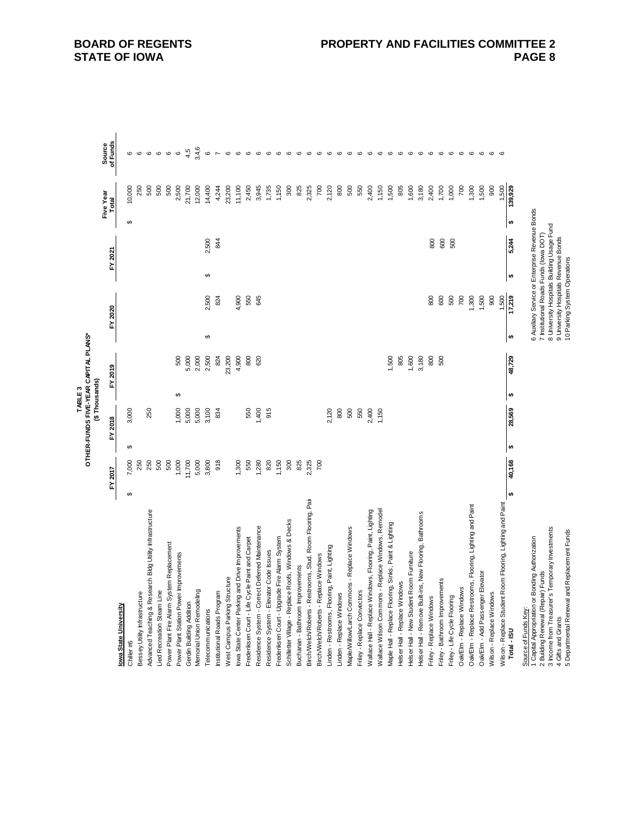|                                                                                          |           |         |                       |         | (\$Thousands)<br>TABLE3 | OTHER-FUNDS FIVE-YEAR CAPITAL PLANS* |                        |                                                                                           |   |         |                       |                    |                    |
|------------------------------------------------------------------------------------------|-----------|---------|-----------------------|---------|-------------------------|--------------------------------------|------------------------|-------------------------------------------------------------------------------------------|---|---------|-----------------------|--------------------|--------------------|
|                                                                                          |           | FY 2017 |                       | FY 2018 |                         | FY 2019                              |                        | FY 2020                                                                                   |   | FY 2021 |                       | Five Year<br>Total | of Funds<br>Source |
| lowa State University                                                                    |           |         |                       |         |                         |                                      |                        |                                                                                           |   |         |                       |                    |                    |
| Chiller #6                                                                               | ↮         | 7,000   | ↔                     | 3,000   |                         |                                      |                        |                                                                                           |   |         | ↔                     | 10,000             | ဖ                  |
| Bessey Utility Infrastructure                                                            |           | 250     |                       |         |                         |                                      |                        |                                                                                           |   |         |                       | 250                | ဖ                  |
| Advanced Teaching & Research Bldg Utility Infrastructure                                 |           | 250     |                       | 250     |                         |                                      |                        |                                                                                           |   |         |                       | 500                | $\mathbf \circ$    |
| Lied Recreation Steam Line                                                               |           | 500     |                       |         |                         |                                      |                        |                                                                                           |   |         |                       | 500                | $\circ$            |
| Power Plant Fire Alarm System Replacement                                                |           | 500     |                       |         |                         |                                      |                        |                                                                                           |   |         |                       | 500                | $\mathbf \circ$    |
| Power Plant Station Power Improvements                                                   |           | 1,000   |                       | 1,000   | ↮                       | 500                                  |                        |                                                                                           |   |         |                       | 2,500              | $\mathbf  \circ$   |
| Gerdin Building Addition                                                                 |           | 11,700  |                       | 5,000   |                         | 5,000                                |                        |                                                                                           |   |         |                       | 21,700             | 4,5                |
| Memorial Union Remodeling                                                                |           | 5,000   |                       | 5,000   |                         | 2,000                                |                        |                                                                                           |   |         |                       | 12,000             | 3,4,6              |
| Telecommunications                                                                       |           | 3,800   |                       | 3,100   |                         | 2,500                                | ↮                      | 2,500                                                                                     | ↔ | 2,500   |                       | 14,400             | $\circ$            |
| Institutional Roads Program                                                              |           | 918     |                       | 834     |                         | 824                                  |                        | 824                                                                                       |   | 844     |                       | 4,244              |                    |
| West Campus Parking Structure                                                            |           |         |                       |         |                         | 23,200                               |                        |                                                                                           |   |         |                       | 23,200             | $\mathbf  \omega$  |
| lowa State Center Parking and Drive Improvements                                         |           | 1,300   |                       |         |                         | 4,900                                |                        | 4,900                                                                                     |   |         |                       | 11,100             | $\mathbf \omega$   |
| Frederiksen Court - Life Cycle Paint and Carpet                                          |           | 550     |                       | 550     |                         | 800                                  |                        | 550                                                                                       |   |         |                       | 2,450              | $\circ$            |
| Residence System - Correct Deferred Maintenance                                          |           | 1,280   |                       | 1,400   |                         | 620                                  |                        | 645                                                                                       |   |         |                       | 3,945              | $\circ$            |
| Residence System - Elevator Code Issues                                                  |           | 820     |                       | 915     |                         |                                      |                        |                                                                                           |   |         |                       | 1,735              | $\circ$            |
| Frederiksen Court - Upgrade Fire Alarm System                                            |           | 1,150   |                       |         |                         |                                      |                        |                                                                                           |   |         |                       | 1,150              | $\circ$            |
| Schilletter Village - Replace Roofs, Windows & Decks                                     |           | 300     |                       |         |                         |                                      |                        |                                                                                           |   |         |                       | 300                | $\circ$            |
| Buchanan - Bathroom Improvements                                                         |           | 825     |                       |         |                         |                                      |                        |                                                                                           |   |         |                       | 825                | $\circ$            |
| Birch/Welch/Roberts - Restrooms, Stud. Room Flooring, Pair                               |           | 2,325   |                       |         |                         |                                      |                        |                                                                                           |   |         |                       | 2,325              | ဖ                  |
| Birch/Welch/Roberts - Replace Windows                                                    |           | 700     |                       |         |                         |                                      |                        |                                                                                           |   |         |                       | $\overline{20}$    | $\circ$            |
| Linden - Restrooms, Flooring, Paint, Lighting                                            |           |         |                       | 2,120   |                         |                                      |                        |                                                                                           |   |         |                       | 2,120              | $\mathbf \circ$    |
| Linden - Replace Windows                                                                 |           |         |                       | 800     |                         |                                      |                        |                                                                                           |   |         |                       | 800                | G                  |
| Maple/Willow/Larch Commons - Replace Windows                                             |           |         |                       | 500     |                         |                                      |                        |                                                                                           |   |         |                       | 500                | ဖ                  |
| Friley - Replace Convectors                                                              |           |         |                       | 550     |                         |                                      |                        |                                                                                           |   |         |                       | 550                | $\circ$            |
| Wallace Hall - Replace Windows, Flooring, Paint, Lighting                                |           |         |                       | 2,400   |                         |                                      |                        |                                                                                           |   |         |                       | 2,400              | G                  |
| Wallace Wilson Commons - Replace Windows, Remodel                                        |           |         |                       | 1,150   |                         |                                      |                        |                                                                                           |   |         |                       | 1,150              | G                  |
| Maple Hall - Replace Flooring, Sinks, Paint & Lighting                                   |           |         |                       |         |                         | 1,500                                |                        |                                                                                           |   |         |                       | 1,500              | $\circ$            |
| Helser Hall - Replace Windows                                                            |           |         |                       |         |                         | 805                                  |                        |                                                                                           |   |         |                       | 805                | $\circ$            |
| Helser Hall - New Student Room Furniture                                                 |           |         |                       |         |                         | 1,600                                |                        |                                                                                           |   |         |                       | 1,600              | ဖ                  |
| Helser Hall - Remove Built-ins, New Flooring, Bathrooms                                  |           |         |                       |         |                         | 3,180                                |                        |                                                                                           |   |         |                       | 3,180              | $\circ$            |
| Friley - Replace Windows                                                                 |           |         |                       |         |                         | 800                                  |                        | 800                                                                                       |   | 800     |                       | 2,400              | $\circ$            |
| ents<br>Friley - Bathroom Improvem                                                       |           |         |                       |         |                         | 500                                  |                        | 600                                                                                       |   | 600     |                       | 1,700              | $\circ$            |
| Friley - Life Cycle Flooring                                                             |           |         |                       |         |                         |                                      |                        | 500                                                                                       |   | 500     |                       | 1,000              | ဖ                  |
| Oak/Elm - Replace Windows                                                                |           |         |                       |         |                         |                                      |                        | 700                                                                                       |   |         |                       | 700                | $\circ$            |
| Oak/Elm - Replace Restrooms, Flooring, Lighting and Paint                                |           |         |                       |         |                         |                                      |                        | 1,300                                                                                     |   |         |                       | 1,300              | $\circ$            |
| Oak/Elm - Add Passenger Elevator                                                         |           |         |                       |         |                         |                                      |                        | 1,500                                                                                     |   |         |                       | 1,500              | ဖ                  |
| Wilson - Replace Windows                                                                 |           |         |                       |         |                         |                                      |                        | 800                                                                                       |   |         |                       | 900                | စ                  |
| Wilson - Replace Student Room Flooring, Lighting and Paint                               |           |         |                       |         |                         |                                      |                        | 1,500                                                                                     |   |         |                       | 1,500              | ဖ                  |
| Total - ISU                                                                              | $\bullet$ | 40,168  | $\boldsymbol{\omega}$ | 28,569  | ÷                       | 48,729                               | $\boldsymbol{\varphi}$ | 17,219                                                                                    | ₩ | 5,244   | $\boldsymbol{\omega}$ | 139,929            |                    |
| Source of Funds Key:                                                                     |           |         |                       |         |                         |                                      |                        |                                                                                           |   |         |                       |                    |                    |
| 1 Capital Appropriation or Bonding Authorization<br>Funds<br>2 Building Renewal (Repair) |           |         |                       |         |                         |                                      |                        | 6 Auxiliary Service or Enterprise Revenue Bonds<br>7 Institutional Roads Funds (lowa DOT) |   |         |                       |                    |                    |
| Temporary Investments<br>3 Income from Treasurer's                                       |           |         |                       |         |                         |                                      |                        | 8 University Hospitals Building Usage Fund                                                |   |         |                       |                    |                    |
| 4 Gifts and Grants                                                                       |           |         |                       |         |                         |                                      |                        | 9 University Hospitals Revenue Bonds                                                      |   |         |                       |                    |                    |
| 5 Departmental Renewal and Replacement Funds                                             |           |         |                       |         |                         |                                      |                        | 10 Parking System Operations                                                              |   |         |                       |                    |                    |

### **BOARD OF REGENTS STATE OF IOWA**